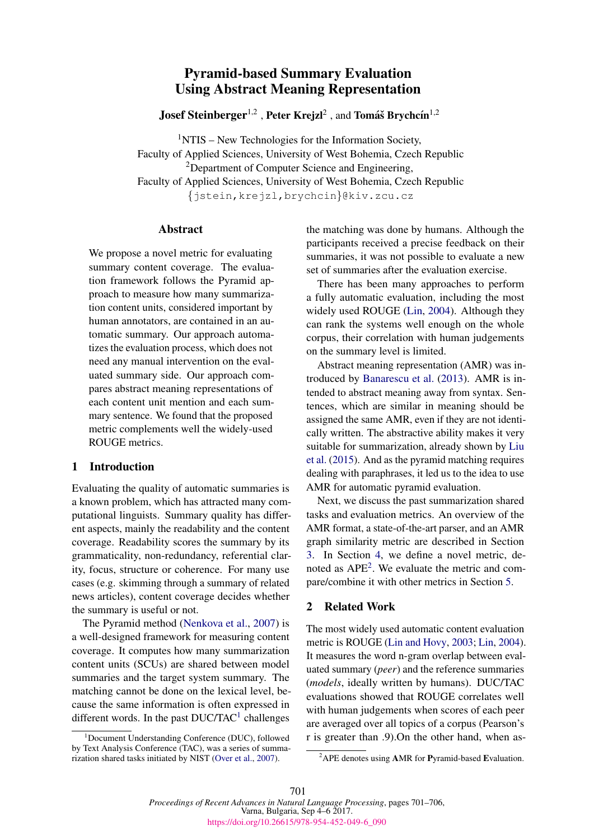# Pyramid-based Summary Evaluation Using Abstract Meaning Representation

**Josef Steinberger**<sup>1,2</sup>, Peter Krejzl<sup>2</sup>, and Tomáš Brychcín<sup>1,2</sup>

 $1$ NTIS – New Technologies for the Information Society, Faculty of Applied Sciences, University of West Bohemia, Czech Republic <sup>2</sup>Department of Computer Science and Engineering, Faculty of Applied Sciences, University of West Bohemia, Czech Republic {jstein,krejzl,brychcin}@kiv.zcu.cz

## Abstract

We propose a novel metric for evaluating summary content coverage. The evaluation framework follows the Pyramid approach to measure how many summarization content units, considered important by human annotators, are contained in an automatic summary. Our approach automatizes the evaluation process, which does not need any manual intervention on the evaluated summary side. Our approach compares abstract meaning representations of each content unit mention and each summary sentence. We found that the proposed metric complements well the widely-used ROUGE metrics.

## 1 Introduction

Evaluating the quality of automatic summaries is a known problem, which has attracted many computational linguists. Summary quality has different aspects, mainly the readability and the content coverage. Readability scores the summary by its grammaticality, non-redundancy, referential clarity, focus, structure or coherence. For many use cases (e.g. skimming through a summary of related news articles), content coverage decides whether the summary is useful or not.

The Pyramid method (Nenkova et al., 2007) is a well-designed framework for measuring content coverage. It computes how many summarization content units (SCUs) are shared between model summaries and the target system summary. The matching cannot be done on the lexical level, because the same information is often expressed in different words. In the past  $DUC/TAC<sup>1</sup>$  challenges

<sup>1</sup>Document Understanding Conference (DUC), followed by Text Analysis Conference (TAC), was a series of summarization shared tasks initiated by NIST (Over et al., 2007).

the matching was done by humans. Although the participants received a precise feedback on their summaries, it was not possible to evaluate a new set of summaries after the evaluation exercise.

There has been many approaches to perform a fully automatic evaluation, including the most widely used ROUGE (Lin, 2004). Although they can rank the systems well enough on the whole corpus, their correlation with human judgements on the summary level is limited.

Abstract meaning representation (AMR) was introduced by Banarescu et al. (2013). AMR is intended to abstract meaning away from syntax. Sentences, which are similar in meaning should be assigned the same AMR, even if they are not identically written. The abstractive ability makes it very suitable for summarization, already shown by Liu et al. (2015). And as the pyramid matching requires dealing with paraphrases, it led us to the idea to use AMR for automatic pyramid evaluation.

Next, we discuss the past summarization shared tasks and evaluation metrics. An overview of the AMR format, a state-of-the-art parser, and an AMR graph similarity metric are described in Section 3. In Section 4, we define a novel metric, denoted as  $APE<sup>2</sup>$ . We evaluate the metric and compare/combine it with other metrics in Section 5.

## 2 Related Work

The most widely used automatic content evaluation metric is ROUGE (Lin and Hovy, 2003; Lin, 2004). It measures the word n-gram overlap between evaluated summary (*peer*) and the reference summaries (*models*, ideally written by humans). DUC/TAC evaluations showed that ROUGE correlates well with human judgements when scores of each peer are averaged over all topics of a corpus (Pearson's r is greater than .9).On the other hand, when as-

<sup>&</sup>lt;sup>2</sup>APE denotes using AMR for Pyramid-based Evaluation.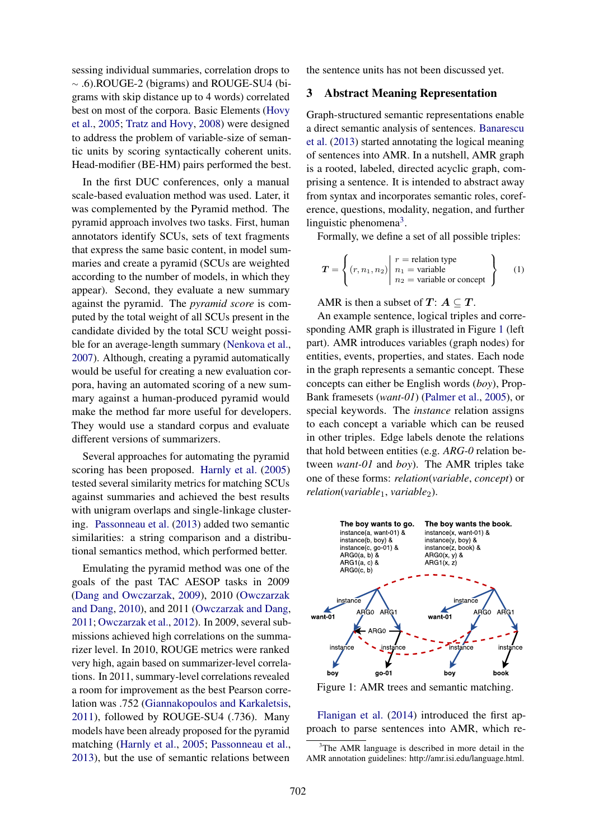sessing individual summaries, correlation drops to <sup>∼</sup> .6).ROUGE-2 (bigrams) and ROUGE-SU4 (bigrams with skip distance up to 4 words) correlated best on most of the corpora. Basic Elements (Hovy et al., 2005; Tratz and Hovy, 2008) were designed to address the problem of variable-size of semantic units by scoring syntactically coherent units. Head-modifier (BE-HM) pairs performed the best.

In the first DUC conferences, only a manual scale-based evaluation method was used. Later, it was complemented by the Pyramid method. The pyramid approach involves two tasks. First, human annotators identify SCUs, sets of text fragments that express the same basic content, in model summaries and create a pyramid (SCUs are weighted according to the number of models, in which they appear). Second, they evaluate a new summary against the pyramid. The *pyramid score* is computed by the total weight of all SCUs present in the candidate divided by the total SCU weight possible for an average-length summary (Nenkova et al., 2007). Although, creating a pyramid automatically would be useful for creating a new evaluation corpora, having an automated scoring of a new summary against a human-produced pyramid would make the method far more useful for developers. They would use a standard corpus and evaluate different versions of summarizers.

Several approaches for automating the pyramid scoring has been proposed. Harnly et al. (2005) tested several similarity metrics for matching SCUs against summaries and achieved the best results with unigram overlaps and single-linkage clustering. Passonneau et al. (2013) added two semantic similarities: a string comparison and a distributional semantics method, which performed better.

Emulating the pyramid method was one of the goals of the past TAC AESOP tasks in 2009 (Dang and Owczarzak, 2009), 2010 (Owczarzak and Dang, 2010), and 2011 (Owczarzak and Dang, 2011; Owczarzak et al., 2012). In 2009, several submissions achieved high correlations on the summarizer level. In 2010, ROUGE metrics were ranked very high, again based on summarizer-level correlations. In 2011, summary-level correlations revealed a room for improvement as the best Pearson correlation was .752 (Giannakopoulos and Karkaletsis, 2011), followed by ROUGE-SU4 (.736). Many models have been already proposed for the pyramid matching (Harnly et al., 2005; Passonneau et al., 2013), but the use of semantic relations between

the sentence units has not been discussed yet.

# 3 Abstract Meaning Representation

Graph-structured semantic representations enable a direct semantic analysis of sentences. Banarescu et al. (2013) started annotating the logical meaning of sentences into AMR. In a nutshell, AMR graph is a rooted, labeled, directed acyclic graph, comprising a sentence. It is intended to abstract away from syntax and incorporates semantic roles, coreference, questions, modality, negation, and further linguistic phenomena<sup>3</sup>.

Formally, we define a set of all possible triples:

$$
T = \left\{ (r, n_1, n_2) \middle| \begin{array}{l} r = \text{relation type} \\ n_1 = \text{variable} \\ n_2 = \text{variable or concept} \end{array} \right\} \qquad (1)
$$

AMR is then a subset of  $T: A \subseteq T$ .

An example sentence, logical triples and corresponding AMR graph is illustrated in Figure 1 (left part). AMR introduces variables (graph nodes) for entities, events, properties, and states. Each node in the graph represents a semantic concept. These concepts can either be English words (*boy*), Prop-Bank framesets (*want-01*) (Palmer et al., 2005), or special keywords. The *instance* relation assigns to each concept a variable which can be reused in other triples. Edge labels denote the relations that hold between entities (e.g. *ARG-0* relation between *want-01* and *boy*). The AMR triples take one of these forms: *relation*(*variable*, *concept*) or *relation*(*variable*1, *variable*2).



Figure 1: AMR trees and semantic matching.

Flanigan et al. (2014) introduced the first approach to parse sentences into AMR, which re-

 $3$ The AMR language is described in more detail in the AMR annotation guidelines: http://amr.isi.edu/language.html.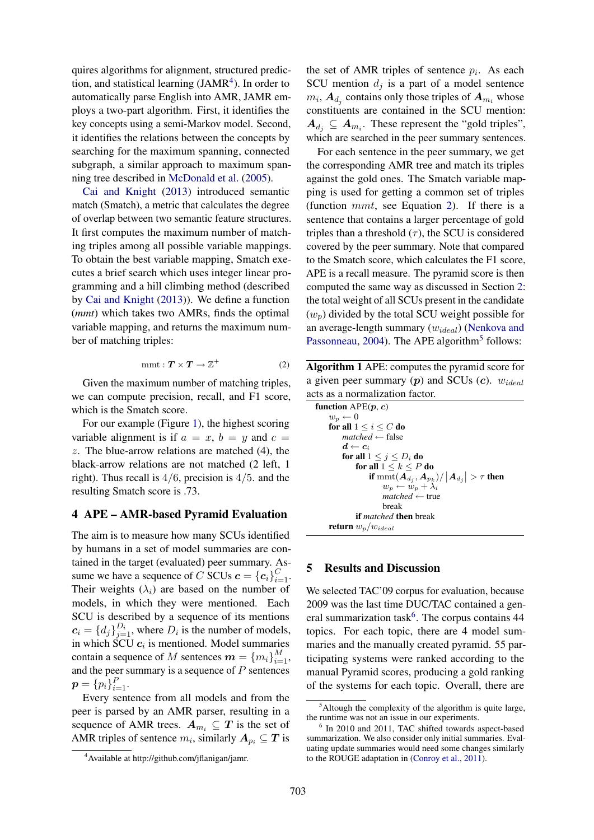quires algorithms for alignment, structured prediction, and statistical learning  $(JAMR<sup>4</sup>)$ . In order to automatically parse English into AMR, JAMR employs a two-part algorithm. First, it identifies the key concepts using a semi-Markov model. Second, it identifies the relations between the concepts by searching for the maximum spanning, connected subgraph, a similar approach to maximum spanning tree described in McDonald et al. (2005).

Cai and Knight (2013) introduced semantic match (Smatch), a metric that calculates the degree of overlap between two semantic feature structures. It first computes the maximum number of matching triples among all possible variable mappings. To obtain the best variable mapping, Smatch executes a brief search which uses integer linear programming and a hill climbing method (described by Cai and Knight (2013)). We define a function (*mmt*) which takes two AMRs, finds the optimal variable mapping, and returns the maximum number of matching triples:

$$
mmt: \mathbf{T} \times \mathbf{T} \to \mathbb{Z}^+
$$
 (2)

Given the maximum number of matching triples, we can compute precision, recall, and F1 score, which is the Smatch score.

For our example (Figure 1), the highest scoring variable alignment is if  $a = x$ ,  $b = y$  and  $c =$ z. The blue-arrow relations are matched (4), the black-arrow relations are not matched (2 left, 1 right). Thus recall is  $4/6$ , precision is  $4/5$ . and the resulting Smatch score is .73.

#### 4 APE – AMR-based Pyramid Evaluation

The aim is to measure how many SCUs identified by humans in a set of model summaries are contained in the target (evaluated) peer summary. Assume we have a sequence of C SCUs  $\mathbf{c} = \{\mathbf{c}_i\}_{i=1}^C$ . Their weights  $(\lambda_i)$  are based on the number of models, in which they were mentioned. Each SCU is described by a sequence of its mentions  $c_i = \{d_j\}_{j=1}^{D_i}$ , where  $D_i$  is the number of models, in which SCU  $c_i$  is mentioned. Model summaries contain a sequence of M sentences  $\boldsymbol{m} = \{m_i\}_{i=1}^M$ , and the peer summary is a sequence of  $P$  sentences  $p = \{p_i\}_{i=1}^P.$ 

Every sentence from all models and from the peer is parsed by an AMR parser, resulting in a sequence of AMR trees.  $A_{m_i} \subseteq T$  is the set of AMR triples of sentence  $m_i$ , similarly  $\boldsymbol{A}_{p_i} \subseteq \boldsymbol{T}$  is

the set of AMR triples of sentence  $p_i$ . As each SCU mention  $d_j$  is a part of a model sentence  $m_i$ ,  $A_{d_j}$  contains only those triples of  $A_{m_i}$  whose constituents are contained in the SCU mention:  $A_{d_j} \subseteq A_{m_i}$ . These represent the "gold triples", which are searched in the peer summary sentences.

For each sentence in the peer summary, we get the corresponding AMR tree and match its triples against the gold ones. The Smatch variable mapping is used for getting a common set of triples (function mmt, see Equation 2). If there is a sentence that contains a larger percentage of gold triples than a threshold  $(\tau)$ , the SCU is considered covered by the peer summary. Note that compared to the Smatch score, which calculates the F1 score, APE is a recall measure. The pyramid score is then computed the same way as discussed in Section 2: the total weight of all SCUs present in the candidate  $(w_p)$  divided by the total SCU weight possible for an average-length summary  $(w_{ideal})$  (Nenkova and Passonneau, 2004). The APE algorithm<sup>5</sup> follows:

Algorithm 1 APE: computes the pyramid score for a given peer summary  $(p)$  and SCUs  $(c)$ .  $w_{ideal}$ acts as a normalization factor.

| function $APE(p, c)$                              |
|---------------------------------------------------|
| $w_p \leftarrow 0$                                |
| for all $1 \leq i \leq C$ do                      |
| $matched \leftarrow false$                        |
| $d \leftarrow c_i$                                |
| for all $1 \leq i \leq D_i$ do                    |
| for all $1 \leq k \leq P$ do                      |
| if $\min(A_{d_i}, A_{p_k})/ A_{d_i}  > \tau$ then |
| $w_p \leftarrow w_p + \lambda_i$                  |
| $matched \leftarrow true$                         |
| break                                             |
| <b>if</b> <i>matched</i> <b>then</b> break        |
| <b>return</b> $w_p/w_{ideal}$                     |

#### 5 Results and Discussion

We selected TAC'09 corpus for evaluation, because 2009 was the last time DUC/TAC contained a general summarization task<sup>6</sup>. The corpus contains 44 topics. For each topic, there are 4 model summaries and the manually created pyramid. 55 participating systems were ranked according to the manual Pyramid scores, producing a gold ranking of the systems for each topic. Overall, there are

<sup>4</sup>Available at http://github.com/jflanigan/jamr.

 $<sup>5</sup>$ Altough the complexity of the algorithm is quite large,</sup> the runtime was not an issue in our experiments.

<sup>&</sup>lt;sup>6</sup> In 2010 and 2011, TAC shifted towards aspect-based summarization. We also consider only initial summaries. Evaluating update summaries would need some changes similarly to the ROUGE adaptation in (Conroy et al., 2011).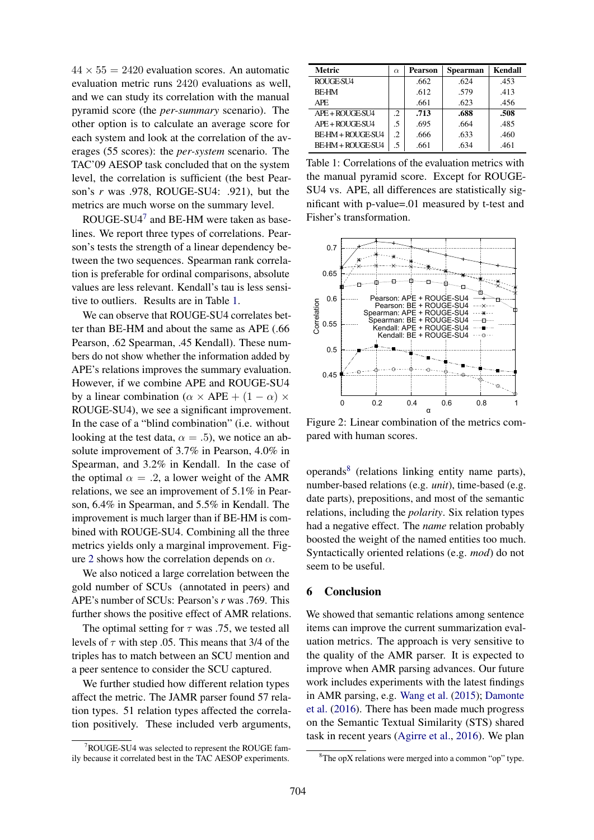$44 \times 55 = 2420$  evaluation scores. An automatic evaluation metric runs 2420 evaluations as well, and we can study its correlation with the manual pyramid score (the *per-summary* scenario). The other option is to calculate an average score for each system and look at the correlation of the averages (55 scores): the *per-system* scenario. The TAC'09 AESOP task concluded that on the system level, the correlation is sufficient (the best Pearson's *r* was .978, ROUGE-SU4: .921), but the metrics are much worse on the summary level.

ROUGE-SU4<sup>7</sup> and BE-HM were taken as baselines. We report three types of correlations. Pearson's tests the strength of a linear dependency between the two sequences. Spearman rank correlation is preferable for ordinal comparisons, absolute values are less relevant. Kendall's tau is less sensitive to outliers. Results are in Table 1.

We can observe that ROUGE-SU4 correlates better than BE-HM and about the same as APE (.66 Pearson, .62 Spearman, .45 Kendall). These numbers do not show whether the information added by APE's relations improves the summary evaluation. However, if we combine APE and ROUGE-SU4 by a linear combination ( $\alpha \times$  APE + (1 –  $\alpha$ )  $\times$ ROUGE-SU4), we see a significant improvement. In the case of a "blind combination" (i.e. without looking at the test data,  $\alpha = .5$ ), we notice an absolute improvement of 3.7% in Pearson, 4.0% in Spearman, and 3.2% in Kendall. In the case of the optimal  $\alpha = .2$ , a lower weight of the AMR relations, we see an improvement of 5.1% in Pearson, 6.4% in Spearman, and 5.5% in Kendall. The improvement is much larger than if BE-HM is combined with ROUGE-SU4. Combining all the three metrics yields only a marginal improvement. Figure 2 shows how the correlation depends on  $\alpha$ .

We also noticed a large correlation between the gold number of SCUs (annotated in peers) and APE's number of SCUs: Pearson's *r* was .769. This further shows the positive effect of AMR relations.

The optimal setting for  $\tau$  was .75, we tested all levels of  $\tau$  with step .05. This means that 3/4 of the triples has to match between an SCU mention and a peer sentence to consider the SCU captured.

We further studied how different relation types affect the metric. The JAMR parser found 57 relation types. 51 relation types affected the correlation positively. These included verb arguments,

| <b>Metric</b>            | $\alpha$ | Pearson | <b>Spearman</b> | Kendall |
|--------------------------|----------|---------|-----------------|---------|
| ROUGE-SU4                |          | .662    | .624            | .453    |
| <b>BF-HM</b>             |          | .612    | .579            | .413    |
| APE.                     |          | .661    | .623            | .456    |
| APE + ROUGE-SU4          | .2       | .713    | .688            | .508    |
| APE + ROUGE-SU4          | .5       | .695    | .664            | .485    |
| BE-HM + ROUGE-SU4        | .2       | .666    | .633            | .460    |
| <b>BE-HM + ROUGE-SU4</b> | .5       | .661    | .634            | .461    |

Table 1: Correlations of the evaluation metrics with the manual pyramid score. Except for ROUGE-SU4 vs. APE, all differences are statistically significant with p-value=.01 measured by t-test and Fisher's transformation.



Figure 2: Linear combination of the metrics compared with human scores.

operands<sup>8</sup> (relations linking entity name parts), number-based relations (e.g. *unit*), time-based (e.g. date parts), prepositions, and most of the semantic relations, including the *polarity*. Six relation types had a negative effect. The *name* relation probably boosted the weight of the named entities too much. Syntactically oriented relations (e.g. *mod*) do not seem to be useful.

#### 6 Conclusion

We showed that semantic relations among sentence items can improve the current summarization evaluation metrics. The approach is very sensitive to the quality of the AMR parser. It is expected to improve when AMR parsing advances. Our future work includes experiments with the latest findings in AMR parsing, e.g. Wang et al. (2015); Damonte et al. (2016). There has been made much progress on the Semantic Textual Similarity (STS) shared task in recent years (Agirre et al., 2016). We plan

 $7 \text{ROUGE-SU4}$  was selected to represent the ROUGE family because it correlated best in the TAC AESOP experiments.

 ${}^{8}$ The opX relations were merged into a common "op" type.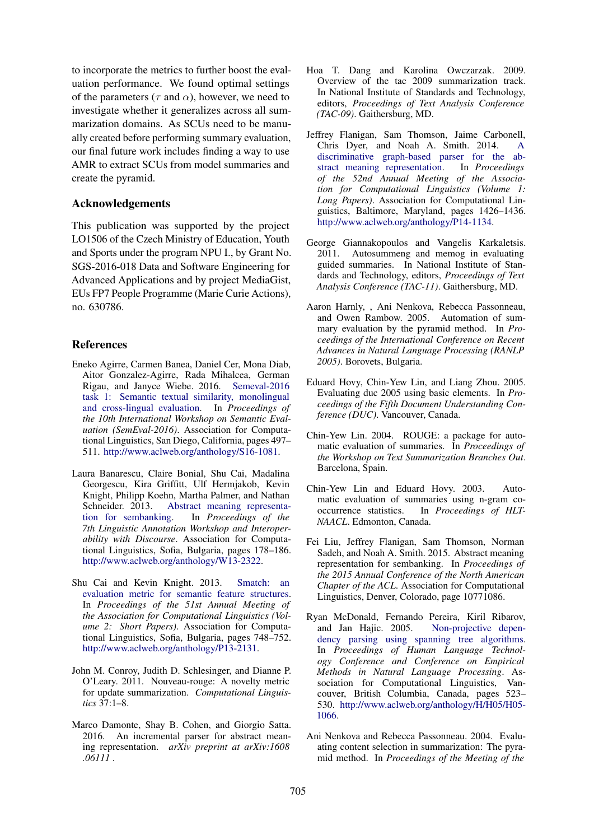to incorporate the metrics to further boost the evaluation performance. We found optimal settings of the parameters ( $\tau$  and  $\alpha$ ), however, we need to investigate whether it generalizes across all summarization domains. As SCUs need to be manually created before performing summary evaluation, our final future work includes finding a way to use AMR to extract SCUs from model summaries and create the pyramid.

#### Acknowledgements

This publication was supported by the project LO1506 of the Czech Ministry of Education, Youth and Sports under the program NPU I., by Grant No. SGS-2016-018 Data and Software Engineering for Advanced Applications and by project MediaGist, EUs FP7 People Programme (Marie Curie Actions), no. 630786.

#### References

- Eneko Agirre, Carmen Banea, Daniel Cer, Mona Diab, Aitor Gonzalez-Agirre, Rada Mihalcea, German Rigau, and Janyce Wiebe. 2016. Semeval-2016 task 1: Semantic textual similarity, monolingual and cross-lingual evaluation. In *Proceedings of the 10th International Workshop on Semantic Evaluation (SemEval-2016)*. Association for Computational Linguistics, San Diego, California, pages 497– 511. http://www.aclweb.org/anthology/S16-1081.
- Laura Banarescu, Claire Bonial, Shu Cai, Madalina Georgescu, Kira Griffitt, Ulf Hermjakob, Kevin Knight, Philipp Koehn, Martha Palmer, and Nathan Schneider. 2013. Abstract meaning representation for sembanking. In *Proceedings of the 7th Linguistic Annotation Workshop and Interoperability with Discourse*. Association for Computational Linguistics, Sofia, Bulgaria, pages 178–186. http://www.aclweb.org/anthology/W13-2322.
- Shu Cai and Kevin Knight. 2013. Smatch: an evaluation metric for semantic feature structures. In *Proceedings of the 51st Annual Meeting of the Association for Computational Linguistics (Volume 2: Short Papers)*. Association for Computational Linguistics, Sofia, Bulgaria, pages 748–752. http://www.aclweb.org/anthology/P13-2131.
- John M. Conroy, Judith D. Schlesinger, and Dianne P. O'Leary. 2011. Nouveau-rouge: A novelty metric for update summarization. *Computational Linguistics* 37:1–8.
- Marco Damonte, Shay B. Cohen, and Giorgio Satta. 2016. An incremental parser for abstract meaning representation. *arXiv preprint at arXiv:1608 .06111* .
- Hoa T. Dang and Karolina Owczarzak. 2009. Overview of the tac 2009 summarization track. In National Institute of Standards and Technology, editors, *Proceedings of Text Analysis Conference (TAC-09)*. Gaithersburg, MD.
- Jeffrey Flanigan, Sam Thomson, Jaime Carbonell, Chris Dyer, and Noah A. Smith. 2014. A discriminative graph-based parser for the abstract meaning representation. In *Proceedings of the 52nd Annual Meeting of the Association for Computational Linguistics (Volume 1: Long Papers)*. Association for Computational Linguistics, Baltimore, Maryland, pages 1426–1436. http://www.aclweb.org/anthology/P14-1134.
- George Giannakopoulos and Vangelis Karkaletsis. 2011. Autosummeng and memog in evaluating guided summaries. In National Institute of Standards and Technology, editors, *Proceedings of Text Analysis Conference (TAC-11)*. Gaithersburg, MD.
- Aaron Harnly, , Ani Nenkova, Rebecca Passonneau, and Owen Rambow. 2005. Automation of summary evaluation by the pyramid method. In *Proceedings of the International Conference on Recent Advances in Natural Language Processing (RANLP 2005)*. Borovets, Bulgaria.
- Eduard Hovy, Chin-Yew Lin, and Liang Zhou. 2005. Evaluating duc 2005 using basic elements. In *Proceedings of the Fifth Document Understanding Conference (DUC)*. Vancouver, Canada.
- Chin-Yew Lin. 2004. ROUGE: a package for automatic evaluation of summaries. In *Proceedings of the Workshop on Text Summarization Branches Out*. Barcelona, Spain.
- Chin-Yew Lin and Eduard Hovy. 2003. Automatic evaluation of summaries using n-gram cooccurrence statistics. In *Proceedings of HLT-NAACL*. Edmonton, Canada.
- Fei Liu, Jeffrey Flanigan, Sam Thomson, Norman Sadeh, and Noah A. Smith. 2015. Abstract meaning representation for sembanking. In *Proceedings of the 2015 Annual Conference of the North American Chapter of the ACL*. Association for Computational Linguistics, Denver, Colorado, page 10771086.
- Ryan McDonald, Fernando Pereira, Kiril Ribarov, and Jan Hajic. 2005. dency parsing using spanning tree algorithms. In *Proceedings of Human Language Technology Conference and Conference on Empirical Methods in Natural Language Processing*. Association for Computational Linguistics, Vancouver, British Columbia, Canada, pages 523– 530. http://www.aclweb.org/anthology/H/H05/H05- 1066.
- Ani Nenkova and Rebecca Passonneau. 2004. Evaluating content selection in summarization: The pyramid method. In *Proceedings of the Meeting of the*